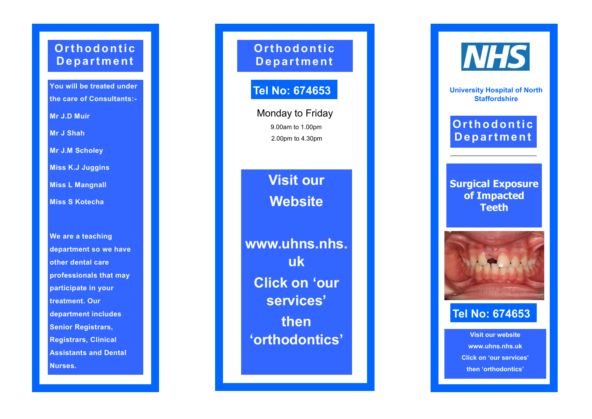# **Orthodontic D e p a r t m e n t**

**You will be treated under the care of Consultants: -**

**Mr J.D Muir**

**Mr J Shah**

**Mr J.M Scholey**

**Miss K.J Juggins**

**Miss L Mangnall**

**Miss S Kotecha**

**We are a teaching department so we have other dental care professionals that may participate in your treatment. Our department includes Senior Registrars, Registrars, Clinical Assistants and Dental Nurses.**

**Or t h o d o n t i c D e p a r t m e n t**

# **Tel No: 674653**

Monday to Friday 9.00am to 1.00pm 2.00pm to 4.30pm

> **Visit our Website**

**www.uhns.nhs. uk Click on 'our services' then 'orthodontics'**

**NHS** 

**University Hospital of North Staffordshire**

# **Or t h o d o n t i c D e p a r t m e n t**

**Surgical Exposure of Impacted Teeth**



# **Tel No: 674653**

**Visit our website www.uhns.nhs.uk Click on 'our services' then 'orthodontics'**